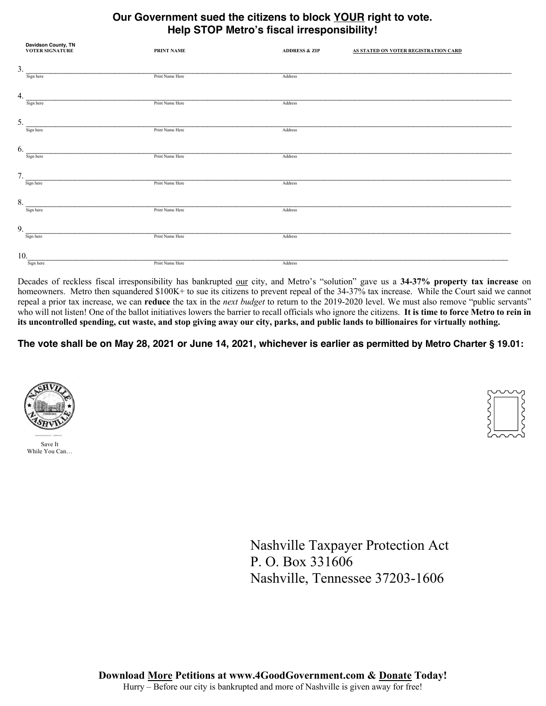## **Our Government sued the citizens to block YOUR right to vote. Help STOP Metro's fiscal irresponsibility!**

|     | <b>Davidson County, TN<br/>VOTER SIGNATURE</b> | PRINT NAME      | <b>ADDRESS &amp; ZIP</b> | AS STATED ON VOTER REGISTRATION CARD |
|-----|------------------------------------------------|-----------------|--------------------------|--------------------------------------|
| 3.  |                                                |                 |                          |                                      |
|     | Sign here                                      | Print Name Here | Address                  |                                      |
| 4.  |                                                |                 |                          |                                      |
|     | Sign here                                      | Print Name Here | Address                  |                                      |
| 5.  |                                                |                 |                          |                                      |
|     | Sign here                                      | Print Name Here | Address                  |                                      |
| 6.  |                                                |                 |                          |                                      |
|     | Sign here                                      | Print Name Here | Address                  |                                      |
| 7.  |                                                |                 |                          |                                      |
|     | Sign here                                      | Print Name Here | Address                  |                                      |
| 8.  |                                                |                 |                          |                                      |
|     | Sign here                                      | Print Name Here | Address                  |                                      |
| 9.  |                                                |                 |                          |                                      |
|     | Sign here                                      | Print Name Here | Address                  |                                      |
| 10. |                                                |                 |                          |                                      |
|     | Sign here                                      | Print Name Here | Address                  |                                      |

Decades of reckless fiscal irresponsibility has bankrupted our city, and Metro's "solution" gave us a **34-37% property tax increase** on homeowners. Metro then squandered \$100K+ to sue its citizens to prevent repeal of the 34-37% tax increase. While the Court said we cannot repeal a prior tax increase, we can **reduce** the tax in the *next budget* to return to the 2019-2020 level. We must also remove "public servants" who will not listen! One of the ballot initiatives lowers the barrier to recall officials who ignore the citizens. **It is time to force Metro to rein in its uncontrolled spending, cut waste, and stop giving away our city, parks, and public lands to billionaires for virtually nothing.**

**The vote shall be on May 28, 2021 or June 14, 2021, whichever is earlier as permitted by Metro Charter § 19.01:**





Nashville Taxpayer Protection Act P. O. Box 331606 Nashville, Tennessee 37203-1606